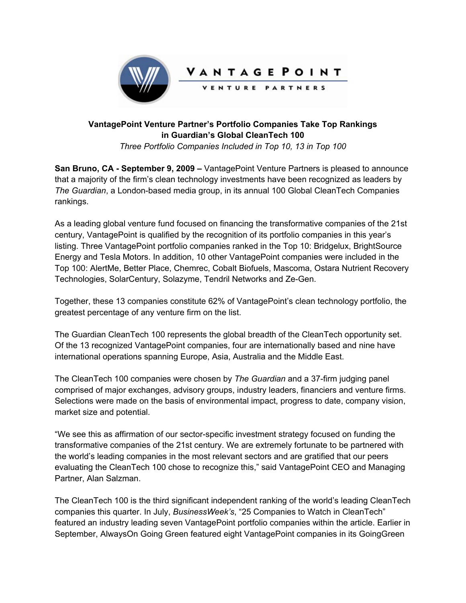

## **VantagePoint Venture Partner's Portfolio Companies Take Top Rankings in Guardian's Global CleanTech 100**  *Three Portfolio Companies Included in Top 10, 13 in Top 100*

**San Bruno, CA - September 9, 2009 –** VantagePoint Venture Partners is pleased to announce that a majority of the firm's clean technology investments have been recognized as leaders by *The Guardian*, a London-based media group, in its annual 100 Global CleanTech Companies rankings.

As a leading global venture fund focused on financing the transformative companies of the 21st century, VantagePoint is qualified by the recognition of its portfolio companies in this year's listing. Three VantagePoint portfolio companies ranked in the Top 10: Bridgelux, BrightSource Energy and Tesla Motors. In addition, 10 other VantagePoint companies were included in the Top 100: AlertMe, Better Place, Chemrec, Cobalt Biofuels, Mascoma, Ostara Nutrient Recovery Technologies, SolarCentury, Solazyme, Tendril Networks and Ze-Gen.

Together, these 13 companies constitute 62% of VantagePoint's clean technology portfolio, the greatest percentage of any venture firm on the list.

The Guardian CleanTech 100 represents the global breadth of the CleanTech opportunity set. Of the 13 recognized VantagePoint companies, four are internationally based and nine have international operations spanning Europe, Asia, Australia and the Middle East.

The CleanTech 100 companies were chosen by *The Guardian* and a 37-firm judging panel comprised of major exchanges, advisory groups, industry leaders, financiers and venture firms. Selections were made on the basis of environmental impact, progress to date, company vision, market size and potential.

"We see this as affirmation of our sector-specific investment strategy focused on funding the transformative companies of the 21st century. We are extremely fortunate to be partnered with the world's leading companies in the most relevant sectors and are gratified that our peers evaluating the CleanTech 100 chose to recognize this," said VantagePoint CEO and Managing Partner, Alan Salzman.

The CleanTech 100 is the third significant independent ranking of the world's leading CleanTech companies this quarter. In July, *BusinessWeek's*, "25 Companies to Watch in CleanTech" featured an industry leading seven VantagePoint portfolio companies within the article. Earlier in September, AlwaysOn Going Green featured eight VantagePoint companies in its GoingGreen